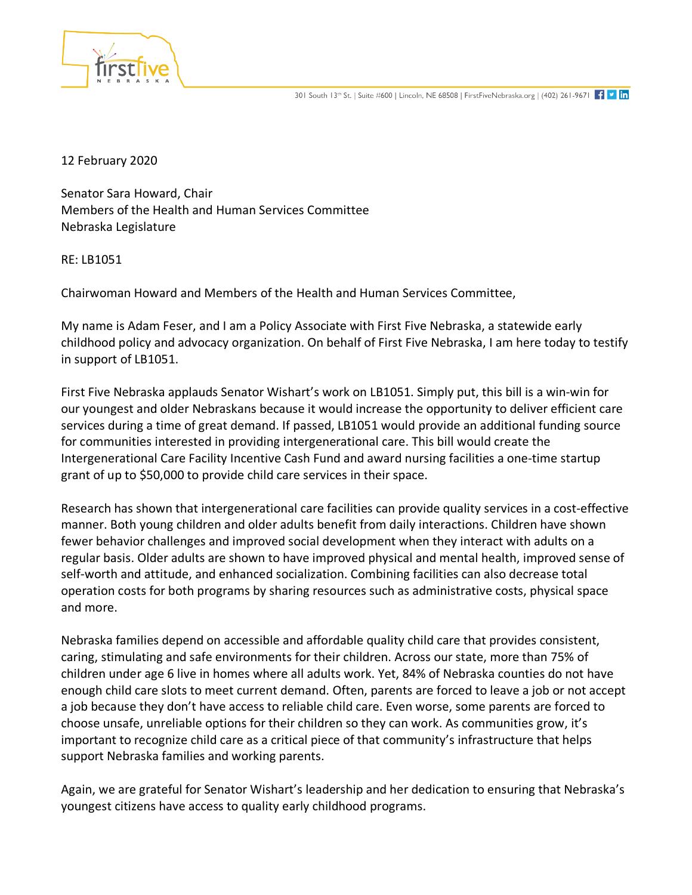

12 February 2020

Senator Sara Howard, Chair Members of the Health and Human Services Committee Nebraska Legislature

RE: LB1051

Chairwoman Howard and Members of the Health and Human Services Committee,

My name is Adam Feser, and I am a Policy Associate with First Five Nebraska, a statewide early childhood policy and advocacy organization. On behalf of First Five Nebraska, I am here today to testify in support of LB1051.

First Five Nebraska applauds Senator Wishart's work on LB1051. Simply put, this bill is a win-win for our youngest and older Nebraskans because it would increase the opportunity to deliver efficient care services during a time of great demand. If passed, LB1051 would provide an additional funding source for communities interested in providing intergenerational care. This bill would create the Intergenerational Care Facility Incentive Cash Fund and award nursing facilities a one-time startup grant of up to \$50,000 to provide child care services in their space.

Research has shown that intergenerational care facilities can provide quality services in a cost-effective manner. Both young children and older adults benefit from daily interactions. Children have shown fewer behavior challenges and improved social development when they interact with adults on a regular basis. Older adults are shown to have improved physical and mental health, improved sense of self-worth and attitude, and enhanced socialization. Combining facilities can also decrease total operation costs for both programs by sharing resources such as administrative costs, physical space and more.

Nebraska families depend on accessible and affordable quality child care that provides consistent, caring, stimulating and safe environments for their children. Across our state, more than 75% of children under age 6 live in homes where all adults work. Yet, 84% of Nebraska counties do not have enough child care slots to meet current demand. Often, parents are forced to leave a job or not accept a job because they don't have access to reliable child care. Even worse, some parents are forced to choose unsafe, unreliable options for their children so they can work. As communities grow, it's important to recognize child care as a critical piece of that community's infrastructure that helps support Nebraska families and working parents.

Again, we are grateful for Senator Wishart's leadership and her dedication to ensuring that Nebraska's youngest citizens have access to quality early childhood programs.